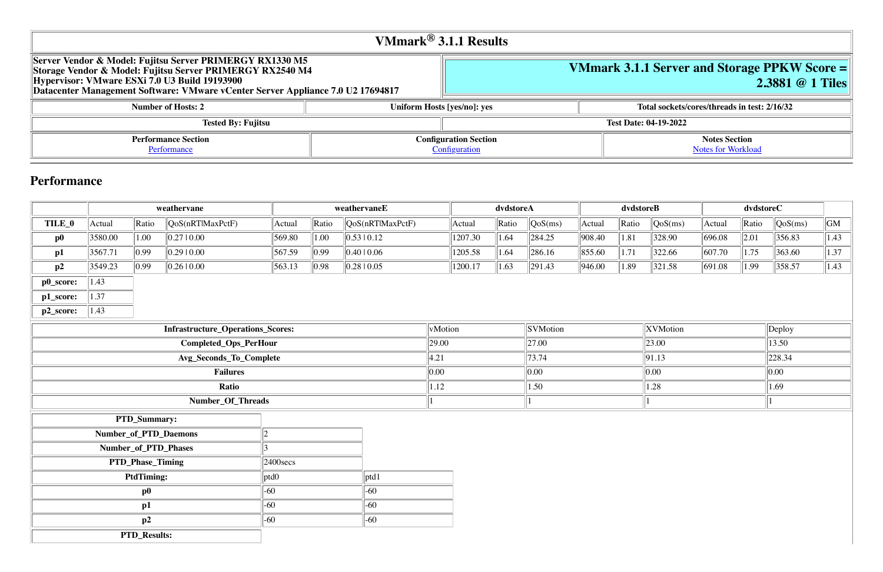## **VMmark 3.1.1 Server and Storage PPKW Score = 2.3881 @ 1 Tiles**

**Number 13 Inserts and Sockets/cores/threads in test: 2/16/32** 

**Notes Section** [Notes for Workload](file:///Users/griderr/Documents/ReviewPanel/0419/2022-05-03-VMmark3_Fujitsu_RX1330M5_2.3881_1tiles_allptd.html#NotesForWorkload)

| VMmark $^{\circledR}$ 3.1.1 Results                                                                                                                                                                                                                       |                                               |  |                              |  |  |
|-----------------------------------------------------------------------------------------------------------------------------------------------------------------------------------------------------------------------------------------------------------|-----------------------------------------------|--|------------------------------|--|--|
| Server Vendor & Model: Fujitsu Server PRIMERGY RX1330 M5<br>Storage Vendor & Model: Fujitsu Server PRIMERGY RX2540 M4<br>Hypervisor: VMware ESXi 7.0 U3 Build 19193900<br>Datacenter Management Software: VMware vCenter Server Appliance 7.0 U2 17694817 |                                               |  | <b>VMmark 3.1.1 Server</b>   |  |  |
| <b>Number of Hosts: 2</b>                                                                                                                                                                                                                                 | Uniform Hosts [yes/no]: yes                   |  | <b>Total sockets</b>         |  |  |
| <b>Tested By: Fujitsu</b>                                                                                                                                                                                                                                 |                                               |  | <b>Test Date: 04-19-2022</b> |  |  |
| <b>Performance Section</b><br>Performance                                                                                                                                                                                                                 | <b>Configuration Section</b><br>Configuration |  |                              |  |  |

## **Performance**

|           |                                    |                     | weathervane                              |        |                  | weathervaneE                |         |         | dvdstoreA |                  |                | dvdstoreB |          |                    | dvdstoreC          |                  |                        |
|-----------|------------------------------------|---------------------|------------------------------------------|--------|------------------|-----------------------------|---------|---------|-----------|------------------|----------------|-----------|----------|--------------------|--------------------|------------------|------------------------|
| TILE_0    | Actual                             | $\ $ Ratio          | $\sqrt{QoS(nRTIMaxPctF)}$                | Actual | $\ $ Ratio       | $\sqrt{QoS(nRTIMaxPctF)}$   |         | Actual  | Ratio     | $\sqrt{QoS(ms)}$ | Actual         | Ratio     | QoS(ms)  | Actual             | Ratio              | $\sqrt{QoS(ms)}$ | $\overline{\text{GM}}$ |
| $\bf p0$  | 3580.00                            | 1.00                | 0.27 0.00                                | 569.80 | 1.00             | $\vert 0.53 \, 10.12 \vert$ |         | 1207.30 | 1.64      | $\ 284.25$       | 908.40         | 1.81      | 328.90   | 696.08             | $\vert 2.01 \vert$ | 356.83           | 1.43                   |
| p1        | 3567.71                            | $\parallel$ 0.99    | 0.29 0.00                                | 567.59 | $\parallel$ 0.99 | 0.4010.06                   |         | 1205.58 | 1.64      | $\ 286.16\ $     | 855.60         | 1.71      | 322.66   | 607.70             | 1.75               | 363.60           | 1.37                   |
| p2        | 3549.23                            | $\parallel$ 0.99    | $\ 0.26\ 0.00\ $                         | 563.13 | $\ 0.98\ $       | $\parallel$ 0.28   0.05     |         | 1200.17 | 1.63      | $\ 291.43\ $     | 946.00         | 1.89      | 321.58   | $\  691.08 \ $     | 1.99               | 358.57           | 1.43                   |
| p0_score: | 1.43                               |                     |                                          |        |                  |                             |         |         |           |                  |                |           |          |                    |                    |                  |                        |
| p1_score: | 1.37                               |                     |                                          |        |                  |                             |         |         |           |                  |                |           |          |                    |                    |                  |                        |
| p2_score: | $\ 1.43\ $                         |                     |                                          |        |                  |                             |         |         |           |                  |                |           |          |                    |                    |                  |                        |
|           |                                    |                     | <b>Infrastructure_Operations_Scores:</b> |        |                  |                             | vMotion |         |           | <b>SVMotion</b>  |                |           | XVMotion |                    |                    | Deploy           |                        |
|           |                                    |                     | Completed_Ops_PerHour                    |        |                  |                             | 29.00   |         |           | $\vert$ 27.00    |                |           | 23.00    |                    |                    | 13.50            |                        |
|           |                                    |                     | Avg_Seconds_To_Complete                  |        |                  |                             | 4.21    |         |           | 73.74            |                |           | 91.13    |                    |                    | 228.34           |                        |
|           | <b>Failures</b>                    |                     |                                          |        | 0.00             |                             |         | 0.00    |           |                  | 0.00           |           |          | 0.00               |                    |                  |                        |
|           | Ratio                              |                     |                                          |        | 1.12             |                             |         | 1.50    |           |                  | $ 1.28\rangle$ |           |          | $\vert 1.69 \vert$ |                    |                  |                        |
|           |                                    |                     | Number_Of_Threads                        |        |                  |                             |         |         |           |                  |                |           |          |                    |                    |                  |                        |
|           |                                    | PTD_Summary:        |                                          |        |                  |                             |         |         |           |                  |                |           |          |                    |                    |                  |                        |
|           | Number_of_PTD_Daemons              |                     |                                          | 12     |                  |                             |         |         |           |                  |                |           |          |                    |                    |                  |                        |
|           | Number_of_PTD_Phases               |                     |                                          |        |                  |                             |         |         |           |                  |                |           |          |                    |                    |                  |                        |
|           | PTD_Phase_Timing<br>$ 2400$ secs   |                     |                                          |        |                  |                             |         |         |           |                  |                |           |          |                    |                    |                  |                        |
|           | <b>PtdTiming:</b><br> ptd1<br>ptd0 |                     |                                          |        |                  |                             |         |         |           |                  |                |           |          |                    |                    |                  |                        |
|           | $-60$<br>$-60$<br>$\bf p0$         |                     |                                          |        |                  |                             |         |         |           |                  |                |           |          |                    |                    |                  |                        |
|           | $-60$<br>$-60$<br>p1               |                     |                                          |        |                  |                             |         |         |           |                  |                |           |          |                    |                    |                  |                        |
|           |                                    | p2                  |                                          | $-60$  |                  | $-60$                       |         |         |           |                  |                |           |          |                    |                    |                  |                        |
|           |                                    | <b>PTD_Results:</b> |                                          |        |                  |                             |         |         |           |                  |                |           |          |                    |                    |                  |                        |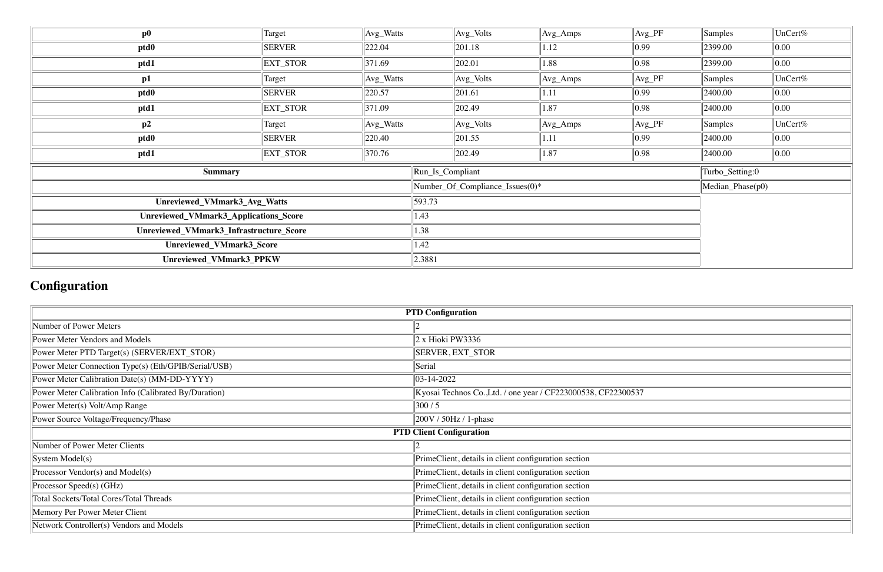| $\bf p0$                                | Target             | $\vert$ Avg_Watts | $Avg_Volts$                     | $\vert$ Avg_Amps | $Avg_PF$         | Samples         | UnCert%          |  |  |  |
|-----------------------------------------|--------------------|-------------------|---------------------------------|------------------|------------------|-----------------|------------------|--|--|--|
| ptd <sub>0</sub>                        | <b>SERVER</b>      | 222.04            | 201.18                          | 1.12             | $\parallel$ 0.99 | 2399.00         | 0.00             |  |  |  |
| ptd1                                    | EXT_STOR           | 371.69            | 202.01                          | 1.88             | $ 0.98\rangle$   | 2399.00         | 0.00             |  |  |  |
| p1                                      | Target             | Avg_Watts         | $\vert$ Avg_Volts               | $\vert$ Avg_Amps | $Avg_PF$         | $\vert$ Samples | UnCert%          |  |  |  |
| ptd <sub>0</sub>                        | <b>SERVER</b>      | 220.57            | 201.61                          | 1.11             | $\parallel$ 0.99 | 2400.00         | 0.00             |  |  |  |
| ptd1                                    | <b>EXT_STOR</b>    | 371.09            | 202.49                          | 1.87             | $ 0.98\rangle$   | 2400.00         | 0.00             |  |  |  |
| p2                                      | Target             | Avg_Watts         | $\vert$ Avg_Volts               | $\vert$ Avg_Amps | $Avg_PF$         | Samples         | UnCert%          |  |  |  |
| ptd0                                    | <b>SERVER</b>      | 220.40            | 201.55                          | 1.11             | $\parallel$ 0.99 | 2400.00         | 0.00             |  |  |  |
| ptd1                                    | <b>EXT_STOR</b>    | 370.76            | 202.49                          | 1.87             | $\parallel$ 0.98 | 2400.00         | 0.00             |  |  |  |
| <b>Summary</b>                          |                    |                   | Run_Is_Compliant                |                  |                  | Turbo_Setting:0 |                  |  |  |  |
|                                         |                    |                   | Number_Of_Compliance_Issues(0)* |                  |                  |                 | Median_Phase(p0) |  |  |  |
| Unreviewed_VMmark3_Avg_Watts            |                    |                   | 593.73                          |                  |                  |                 |                  |  |  |  |
| Unreviewed_VMmark3_Applications_Score   |                    |                   | 1.43                            |                  |                  |                 |                  |  |  |  |
| Unreviewed_VMmark3_Infrastructure_Score | 1.38               |                   |                                 |                  |                  |                 |                  |  |  |  |
| Unreviewed_VMmark3_Score                | $\vert 1.42 \vert$ |                   |                                 |                  |                  |                 |                  |  |  |  |
| Unreviewed_VMmark3_PPKW                 |                    |                   | 2.3881                          |                  |                  |                 |                  |  |  |  |

# **Configuration**

| <b>PTD Configuration</b>                              |                                                               |  |  |  |  |
|-------------------------------------------------------|---------------------------------------------------------------|--|--|--|--|
| Number of Power Meters                                |                                                               |  |  |  |  |
| Power Meter Vendors and Models                        | 2 x Hioki PW3336                                              |  |  |  |  |
| Power Meter PTD Target(s) (SERVER/EXT_STOR)           | <b>SERVER, EXT_STOR</b>                                       |  |  |  |  |
| Power Meter Connection Type(s) (Eth/GPIB/Serial/USB)  | Serial                                                        |  |  |  |  |
| Power Meter Calibration Date(s) (MM-DD-YYYY)          | $ 03-14-2022 $                                                |  |  |  |  |
| Power Meter Calibration Info (Calibrated By/Duration) | Kyosai Technos Co., Ltd. / one year / CF223000538, CF22300537 |  |  |  |  |
| Power Meter(s) Volt/Amp Range                         | 300/5                                                         |  |  |  |  |
| Power Source Voltage/Frequency/Phase                  | 200V / 50Hz / 1-phase                                         |  |  |  |  |
|                                                       | <b>PTD Client Configuration</b>                               |  |  |  |  |
| Number of Power Meter Clients                         |                                                               |  |  |  |  |
| System Model(s)                                       | PrimeClient, details in client configuration section          |  |  |  |  |
| Processor Vendor(s) and Model(s)                      | PrimeClient, details in client configuration section          |  |  |  |  |
| Processor Speed(s) (GHz)                              | PrimeClient, details in client configuration section          |  |  |  |  |
| <b>Total Sockets/Total Cores/Total Threads</b>        | PrimeClient, details in client configuration section          |  |  |  |  |
| Memory Per Power Meter Client                         | PrimeClient, details in client configuration section          |  |  |  |  |
| Network Controller(s) Vendors and Models              | PrimeClient, details in client configuration section          |  |  |  |  |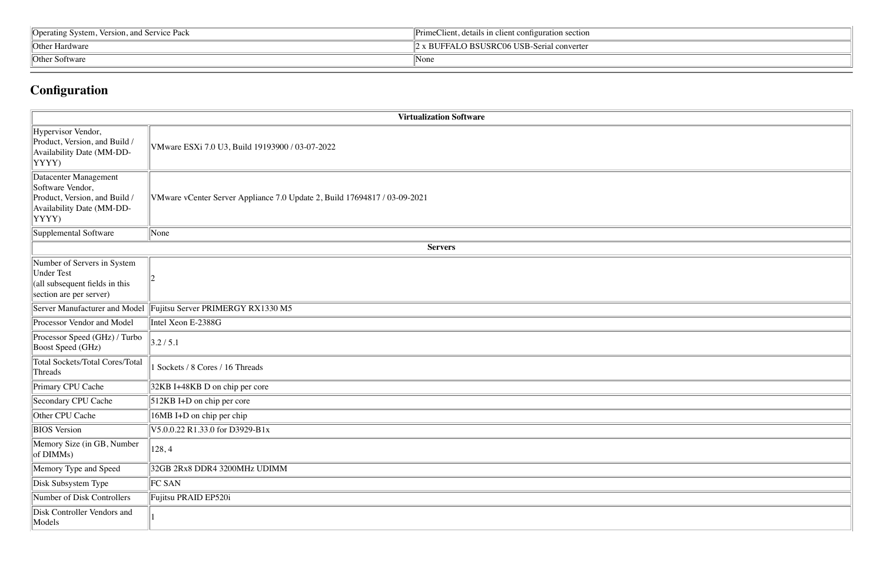| Version, and Service Pack<br>System,<br>Operating | $\cdot$ .<br><b>~11</b><br><i>Primet</i><br>details in client configuration section.<br>Aient. |  |  |  |
|---------------------------------------------------|------------------------------------------------------------------------------------------------|--|--|--|
| Other Hardware                                    | <b>D BSUSRC06 USB-Serial converter</b><br>2 x BUFFALO                                          |  |  |  |
| $\theta$ Other<br>: Software                      | None                                                                                           |  |  |  |

# **Configuration**

|                                                                                                                  | <b>Virtualization Software</b>                                            |
|------------------------------------------------------------------------------------------------------------------|---------------------------------------------------------------------------|
| Hypervisor Vendor,<br>Product, Version, and Build /<br>Availability Date (MM-DD-<br>YYYY)                        | VMware ESXi 7.0 U3, Build 19193900 / 03-07-2022                           |
| Datacenter Management<br>Software Vendor,<br>Product, Version, and Build /<br>Availability Date (MM-DD-<br>YYYY) | VMware vCenter Server Appliance 7.0 Update 2, Build 17694817 / 03-09-2021 |
| Supplemental Software                                                                                            | None                                                                      |
|                                                                                                                  | <b>Servers</b>                                                            |
| Number of Servers in System<br><b>Under Test</b><br>(all subsequent fields in this<br>section are per server)    | 2                                                                         |
| Server Manufacturer and Model                                                                                    | Fujitsu Server PRIMERGY RX1330 M5                                         |
| Processor Vendor and Model                                                                                       | Intel Xeon E-2388G                                                        |
| Processor Speed (GHz) / Turbo<br>Boost Speed (GHz)                                                               | 3.2 / 5.1                                                                 |
| <b>Total Sockets/Total Cores/Total</b><br>Threads                                                                | Sockets / 8 Cores / 16 Threads                                            |
| Primary CPU Cache                                                                                                | 32KB I+48KB D on chip per core                                            |
| Secondary CPU Cache                                                                                              | 512KB I+D on chip per core                                                |
| Other CPU Cache                                                                                                  | 16MB I+D on chip per chip                                                 |
| <b>BIOS</b> Version                                                                                              | V5.0.0.22 R1.33.0 for D3929-B1x                                           |
| Memory Size (in GB, Number<br>of DIMMs)                                                                          | 128, 4                                                                    |
| Memory Type and Speed                                                                                            | 32GB 2Rx8 DDR4 3200MHz UDIMM                                              |
| Disk Subsystem Type                                                                                              | <b>FC SAN</b>                                                             |
| Number of Disk Controllers                                                                                       | Fujitsu PRAID EP520i                                                      |
| Disk Controller Vendors and<br>Models                                                                            |                                                                           |

| the contract of the contract of the contract of the contract of the contract of the contract of the contract of |  |
|-----------------------------------------------------------------------------------------------------------------|--|
|                                                                                                                 |  |
|                                                                                                                 |  |
|                                                                                                                 |  |
|                                                                                                                 |  |
|                                                                                                                 |  |
|                                                                                                                 |  |
|                                                                                                                 |  |
|                                                                                                                 |  |
|                                                                                                                 |  |
|                                                                                                                 |  |
|                                                                                                                 |  |
|                                                                                                                 |  |
|                                                                                                                 |  |
|                                                                                                                 |  |
|                                                                                                                 |  |
|                                                                                                                 |  |
|                                                                                                                 |  |
|                                                                                                                 |  |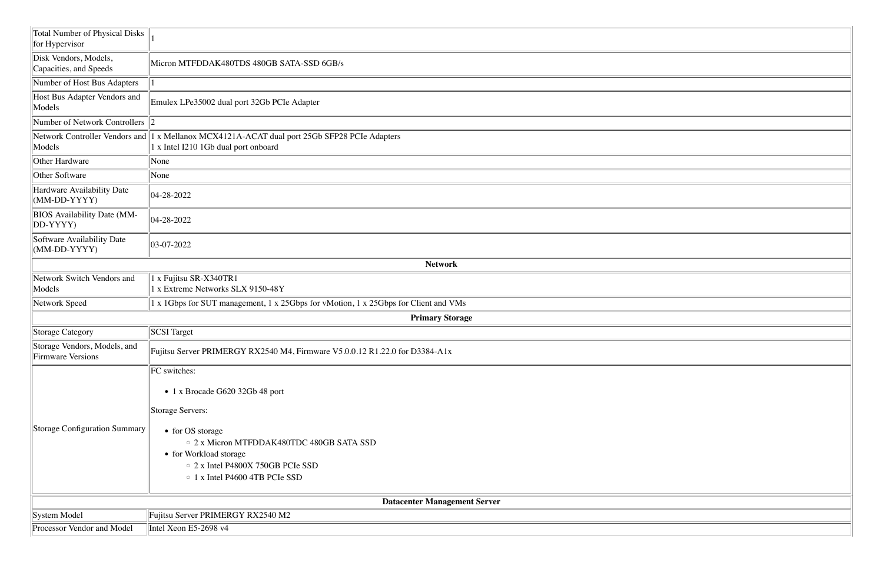| <b>Total Number of Physical Disks</b><br>for Hypervisor |                                                                                                                                                                                                                                             |
|---------------------------------------------------------|---------------------------------------------------------------------------------------------------------------------------------------------------------------------------------------------------------------------------------------------|
| Disk Vendors, Models,<br>Capacities, and Speeds         | Micron MTFDDAK480TDS 480GB SATA-SSD 6GB/s                                                                                                                                                                                                   |
| Number of Host Bus Adapters                             |                                                                                                                                                                                                                                             |
| Host Bus Adapter Vendors and<br>Models                  | Emulex LPe35002 dual port 32Gb PCIe Adapter                                                                                                                                                                                                 |
| Number of Network Controllers 2                         |                                                                                                                                                                                                                                             |
| Models                                                  | Network Controller Vendors and 1 x Mellanox MCX4121A-ACAT dual port 25Gb SFP28 PCIe Adapters<br>1 x Intel I210 1Gb dual port onboard                                                                                                        |
| Other Hardware                                          | None                                                                                                                                                                                                                                        |
| Other Software                                          | None                                                                                                                                                                                                                                        |
| Hardware Availability Date<br>$(MM-DD-YYYY)$            | $ 04-28-2022 $                                                                                                                                                                                                                              |
| <b>BIOS</b> Availability Date (MM-<br>$ DD-YYYY$        | 04-28-2022                                                                                                                                                                                                                                  |
| Software Availability Date<br>$(MM-DD-YYYY)$            | $ 03-07-2022 $                                                                                                                                                                                                                              |
|                                                         | <b>Network</b>                                                                                                                                                                                                                              |
| Network Switch Vendors and<br>Models                    | 1 x Fujitsu SR-X340TR1<br>1 x Extreme Networks SLX 9150-48Y                                                                                                                                                                                 |
| Network Speed                                           | 1 x 1Gbps for SUT management, 1 x 25Gbps for vMotion, 1 x 25Gbps for Client and VMs                                                                                                                                                         |
|                                                         | <b>Primary Storage</b>                                                                                                                                                                                                                      |
| Storage Category                                        | <b>SCSI</b> Target                                                                                                                                                                                                                          |
| Storage Vendors, Models, and<br>Firmware Versions       | Fujitsu Server PRIMERGY RX2540 M4, Firmware V5.0.0.12 R1.22.0 for D3384-A1x                                                                                                                                                                 |
| Storage Configuration Summary                           | FC switches:<br>• 1 x Brocade G620 32Gb 48 port<br>Storage Servers:<br>• for OS storage<br>○ 2 x Micron MTFDDAK480TDC 480GB SATA SSD<br>• for Workload storage<br>○ 2 x Intel P4800X 750GB PCIe SSD<br>$\circ$ 1 x Intel P4600 4TB PCIe SSD |
|                                                         | <b>Datacenter Management Server</b>                                                                                                                                                                                                         |
| System Model                                            | Fujitsu Server PRIMERGY RX2540 M2                                                                                                                                                                                                           |
| Processor Vendor and Model                              | Intel Xeon E5-2698 v4                                                                                                                                                                                                                       |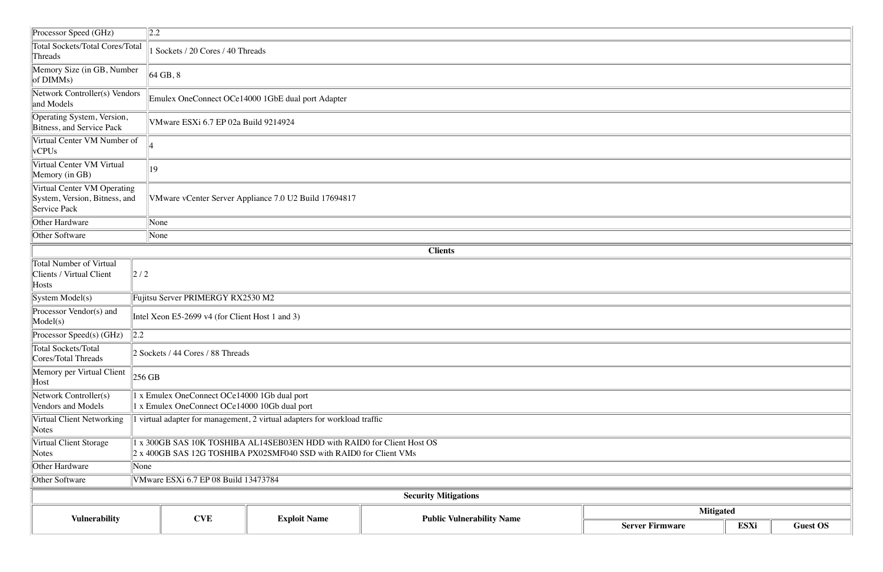| Processor Speed (GHz)                                                        | $\ 2.2\ $                            |                                                                                                                                               |                                                       |                                  |                        |  |  |
|------------------------------------------------------------------------------|--------------------------------------|-----------------------------------------------------------------------------------------------------------------------------------------------|-------------------------------------------------------|----------------------------------|------------------------|--|--|
| Total Sockets/Total Cores/Total<br>Threads                                   |                                      | Sockets / 20 Cores / 40 Threads                                                                                                               |                                                       |                                  |                        |  |  |
| Memory Size (in GB, Number<br>$\log$ DIMMs)                                  |                                      | $64$ GB, $8$                                                                                                                                  |                                                       |                                  |                        |  |  |
| Network Controller(s) Vendors<br>and Models                                  |                                      |                                                                                                                                               | Emulex OneConnect OCe14000 1GbE dual port Adapter     |                                  |                        |  |  |
| Operating System, Version,<br>Bitness, and Service Pack                      |                                      | VMware ESXi 6.7 EP 02a Build 9214924                                                                                                          |                                                       |                                  |                        |  |  |
| Virtual Center VM Number of<br>vCPUs                                         |                                      |                                                                                                                                               |                                                       |                                  |                        |  |  |
| Virtual Center VM Virtual<br>Memory (in GB)                                  | 19                                   |                                                                                                                                               |                                                       |                                  |                        |  |  |
| Virtual Center VM Operating<br>System, Version, Bitness, and<br>Service Pack |                                      |                                                                                                                                               | VMware vCenter Server Appliance 7.0 U2 Build 17694817 |                                  |                        |  |  |
| Other Hardware                                                               | None                                 |                                                                                                                                               |                                                       |                                  |                        |  |  |
| Other Software                                                               | None                                 |                                                                                                                                               |                                                       |                                  |                        |  |  |
|                                                                              |                                      |                                                                                                                                               |                                                       | <b>Clients</b>                   |                        |  |  |
| Total Number of Virtual<br>Clients / Virtual Client<br>Hosts                 | 2/2                                  |                                                                                                                                               |                                                       |                                  |                        |  |  |
| System Model(s)                                                              |                                      | Fujitsu Server PRIMERGY RX2530 M2                                                                                                             |                                                       |                                  |                        |  |  |
| Processor Vendor(s) and<br>Model(s)                                          |                                      | Intel Xeon E5-2699 v4 (for Client Host 1 and 3)                                                                                               |                                                       |                                  |                        |  |  |
| Processor Speed(s) (GHz)                                                     | 2.2                                  |                                                                                                                                               |                                                       |                                  |                        |  |  |
| Total Sockets/Total<br>Cores/Total Threads                                   |                                      | 2 Sockets / 44 Cores / 88 Threads                                                                                                             |                                                       |                                  |                        |  |  |
| Memory per Virtual Client<br>Host                                            | $256$ GB                             |                                                                                                                                               |                                                       |                                  |                        |  |  |
| Network Controller(s)<br>Vendors and Models                                  |                                      | 1 x Emulex OneConnect OCe14000 1Gb dual port<br>1 x Emulex OneConnect OCe14000 10Gb dual port                                                 |                                                       |                                  |                        |  |  |
| Virtual Client Networking<br>Notes                                           |                                      | 1 virtual adapter for management, 2 virtual adapters for workload traffic                                                                     |                                                       |                                  |                        |  |  |
| Virtual Client Storage<br>Notes                                              |                                      | 1 x 300GB SAS 10K TOSHIBA AL14SEB03EN HDD with RAID0 for Client Host OS<br>2 x 400GB SAS 12G TOSHIBA PX02SMF040 SSD with RAID0 for Client VMs |                                                       |                                  |                        |  |  |
| Other Hardware                                                               | None                                 |                                                                                                                                               |                                                       |                                  |                        |  |  |
| Other Software                                                               | VMware ESXi 6.7 EP 08 Build 13473784 |                                                                                                                                               |                                                       |                                  |                        |  |  |
|                                                                              |                                      |                                                                                                                                               |                                                       | <b>Security Mitigations</b>      |                        |  |  |
|                                                                              |                                      |                                                                                                                                               |                                                       |                                  | <b>Mitigated</b>       |  |  |
| <b>Vulnerability</b>                                                         |                                      | <b>CVE</b>                                                                                                                                    | <b>Exploit Name</b>                                   | <b>Public Vulnerability Name</b> | <b>Server Firmware</b> |  |  |

| <b>Server Firmware</b> | <b>ESXi</b> | <b>Guest OS</b> |
|------------------------|-------------|-----------------|
| <b>Mitigated</b>       |             |                 |
|                        |             |                 |
|                        |             |                 |
|                        |             |                 |
|                        |             |                 |
|                        |             |                 |
|                        |             |                 |
|                        |             |                 |
|                        |             |                 |
|                        |             |                 |
|                        |             |                 |
|                        |             |                 |
|                        |             |                 |
|                        |             |                 |
|                        |             |                 |
|                        |             |                 |
|                        |             |                 |
|                        |             |                 |
|                        |             |                 |
|                        |             |                 |
|                        |             |                 |
|                        |             |                 |
|                        |             |                 |
|                        |             |                 |
|                        |             |                 |
|                        |             |                 |
|                        |             |                 |
|                        |             |                 |
|                        |             |                 |
|                        |             |                 |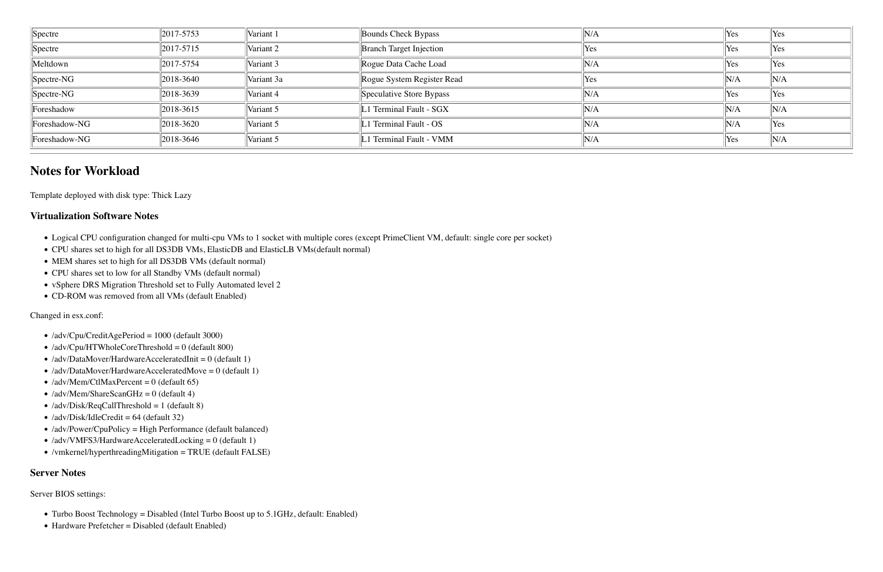| Spectre        | $\ 2017 - 5753\ $ | Variant 1  | Bounds Check Bypass            | 'N/A       | Yes | Yes                |
|----------------|-------------------|------------|--------------------------------|------------|-----|--------------------|
| Spectre        | $\ 2017 - 5715\ $ | Variant 2  | <b>Branch Target Injection</b> | <b>Yes</b> | Yes | <b>Yes</b>         |
| Meltdown       | $\ 2017 - 5754\ $ | Variant 3  | Rogue Data Cache Load          | N/A        | Yes | $\forall$ es       |
| $ Spectre-NG $ | 2018-3640         | Variant 3a | Rogue System Register Read     | Yes        | N/A | N/A                |
| $ Spectre-NG $ | 2018-3639         | Variant 4  | Speculative Store Bypass       | N/A        | Yes | $\forall$ Yes      |
| Foreshadow     | 2018-3615         | Variant 5  | L1 Terminal Fault - SGX        | N/A        | N/A | N/A                |
| Foreshadow-NG  | 2018-3620         | Variant 5  | L1 Terminal Fault - OS         | N/A        | N/A | Yes                |
| Foreshadow-NG  | 2018-3646         | Variant 5  | L1 Terminal Fault - VMM        | N/A        | Yes | $\mathbb{I}_{N/A}$ |

### **Notes for Workload**

Template deployed with disk type: Thick Lazy

#### **Virtualization Software Notes**

- Logical CPU configuration changed for multi-cpu VMs to 1 socket with multiple cores (except PrimeClient VM, default: single core per socket)
- CPU shares set to high for all DS3DB VMs, ElasticDB and ElasticLB VMs(default normal)
- MEM shares set to high for all DS3DB VMs (default normal)
- CPU shares set to low for all Standby VMs (default normal)
- vSphere DRS Migration Threshold set to Fully Automated level 2
- CD-ROM was removed from all VMs (default Enabled)

Changed in esx.conf:

- /adv/Cpu/CreditAgePeriod = 1000 (default 3000)
- $\bullet$  /adv/Cpu/HTWholeCoreThreshold = 0 (default 800)
- $\bullet$  /adv/DataMover/HardwareAcceleratedInit = 0 (default 1)
- $\bullet$  /adv/DataMover/HardwareAcceleratedMove = 0 (default 1)
- $\bullet$  /adv/Mem/CtlMaxPercent = 0 (default 65)
- $\bullet$  /adv/Mem/ShareScanGHz = 0 (default 4)
- $\bullet$  /adv/Disk/ReqCallThreshold = 1 (default 8)
- $\bullet$  /adv/Disk/IdleCredit = 64 (default 32)
- /adv/Power/CpuPolicy = High Performance (default balanced)
- $\bullet$  /adv/VMFS3/HardwareAcceleratedLocking = 0 (default 1)
- /vmkernel/hyperthreadingMitigation = TRUE (default FALSE)

#### **Server Notes**

Server BIOS settings:

- Turbo Boost Technology = Disabled (Intel Turbo Boost up to 5.1GHz, default: Enabled)
- $\bullet$  Hardware Prefetcher = Disabled (default Enabled)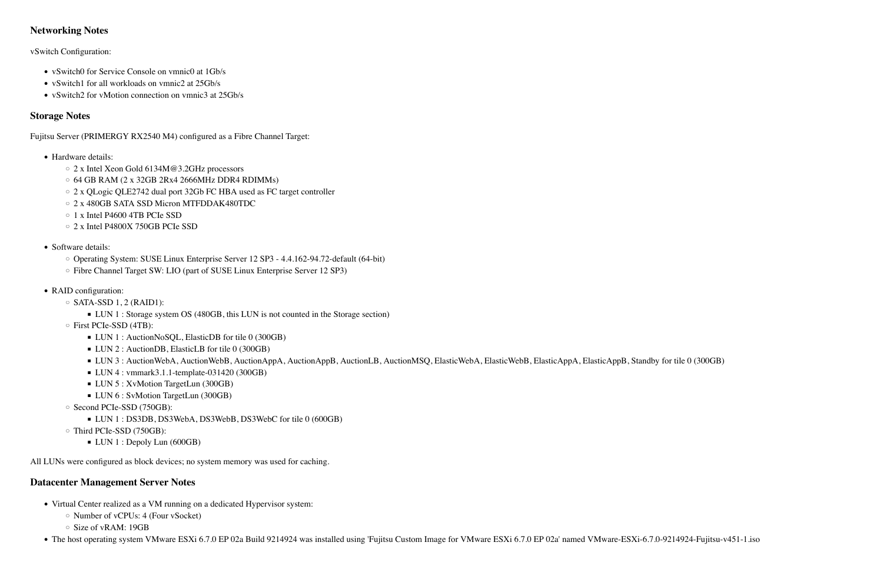#### **Networking Notes**

vSwitch Configuration:

- vSwitch0 for Service Console on vmnic0 at 1Gb/s
- vSwitch1 for all workloads on vmnic2 at 25Gb/s
- vSwitch2 for vMotion connection on vmnic3 at 25Gb/s

#### **Storage Notes**

Fujitsu Server (PRIMERGY RX2540 M4) configured as a Fibre Channel Target:

- Hardware details:
	- 2 x Intel Xeon Gold 6134M@3.2GHz processors
	- $\circ$  64 GB RAM (2 x 32GB 2Rx4 2666MHz DDR4 RDIMMs)
	- 2 x QLogic QLE2742 dual port 32Gb FC HBA used as FC target controller
	- o 2 x 480GB SATA SSD Micron MTFDDAK480TDC
	- $\circ$  1 x Intel P4600 4TB PCIe SSD
	- 2 x Intel P4800X 750GB PCIe SSD
- Software details:
	- Operating System: SUSE Linux Enterprise Server 12 SP3 4.4.162-94.72-default (64-bit)
	- $\circ$  Fibre Channel Target SW: LIO (part of SUSE Linux Enterprise Server 12 SP3)
- RAID configuration:
	- $\circ$  SATA-SSD 1, 2 (RAID1):
		- LUN 1 : Storage system OS (480GB, this LUN is not counted in the Storage section)
	- $\circ$  First PCIe-SSD (4TB):
		- LUN 1 : AuctionNoSQL, ElasticDB for tile 0 (300GB)
		- LUN 2 : AuctionDB, ElasticLB for tile 0 (300GB)
		- LUN 3 : AuctionWebA, AuctionWebB, AuctionAppA, AuctionAppB, AuctionLB, AuctionMSQ, ElasticWebA, ElasticWebB, ElasticAppA, ElasticAppB, Standby for tile 0 (300GB)
		- $\blacksquare$  LUN 4 : vmmark3.1.1-template-031420 (300GB)
		- **LUN 5 : XvMotion TargetLun (300GB)**
		- LUN 6 : SvMotion TargetLun (300GB)
	- Second PCIe-SSD (750GB):
		- LUN 1 : DS3DB, DS3WebA, DS3WebB, DS3WebC for tile 0 (600GB)
	- $\circ$  Third PCIe-SSD (750GB):
		- LUN 1 : Depoly Lun (600GB)

All LUNs were configured as block devices; no system memory was used for caching.

#### **Datacenter Management Server Notes**

- Virtual Center realized as a VM running on a dedicated Hypervisor system:
	- $\circ$  Number of vCPUs: 4 (Four vSocket)
	- $\circ$  Size of vRAM: 19GB
- The host operating system VMware ESXi 6.7.0 EP 02a Build 9214924 was installed using 'Fujitsu Custom Image for VMware ESXi 6.7.0 EP 02a' named VMware-ESXi-6.7.0-9214924-Fujitsu-v451-1.iso